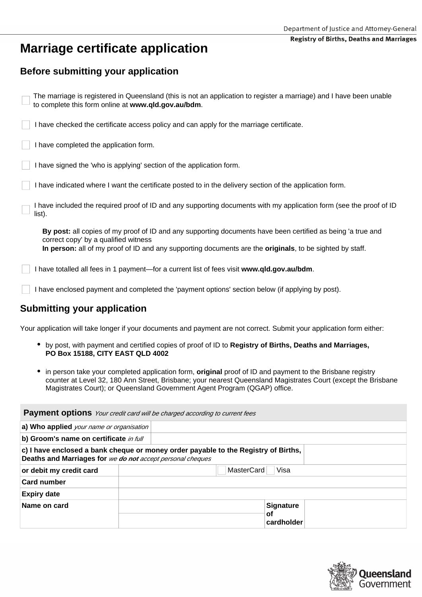#### **Registry of Births, Deaths and Marriages**

# **Marriage certificate application**

## **Before submitting your application**

| The marriage is registered in Queensland (this is not an application to register a marriage) and I have been unable<br>to complete this form online at www.qld.gov.au/bdm. |  |
|----------------------------------------------------------------------------------------------------------------------------------------------------------------------------|--|
| I have checked the certificate access policy and can apply for the marriage certificate.                                                                                   |  |
| I have completed the application form.                                                                                                                                     |  |
| I have signed the 'who is applying' section of the application form.                                                                                                       |  |
| I have indicated where I want the certificate posted to in the delivery section of the application form.                                                                   |  |
| I have included the required proof of ID and any supporting documents with my application form (see the proof of ID<br>list).                                              |  |
| By post: all copies of my proof of ID and any supporting documents have been certified as being 'a true and<br>correct copy' by a qualified witness                        |  |
| In person: all of my proof of ID and any supporting documents are the originals, to be sighted by staff.                                                                   |  |
| I have totalled all fees in 1 payment—for a current list of fees visit www.qld.gov.au/bdm.                                                                                 |  |
| I have enclosed payment and completed the 'payment options' section below (if applying by post).                                                                           |  |

## **Submitting your application**

Your application will take longer if your documents and payment are not correct. Submit your application form either:

- by post, with payment and certified copies of proof of ID to **Registry of Births, Deaths and Marriages, PO Box 15188, CITY EAST QLD 4002**
- in person take your completed application form, **original** proof of ID and payment to the Brisbane registry  $\bullet$ counter at Level 32, 180 Ann Street, Brisbane; your nearest Queensland Magistrates Court (except the Brisbane Magistrates Court); or Queensland Government Agent Program (QGAP) office.

| <b>Payment options</b> Your credit card will be charged according to current fees |                                                                                    |  |
|-----------------------------------------------------------------------------------|------------------------------------------------------------------------------------|--|
| a) Who applied your name or organisation                                          |                                                                                    |  |
| b) Groom's name on certificate in full                                            |                                                                                    |  |
| Deaths and Marriages for we do not accept personal cheques                        | c) I have enclosed a bank cheque or money order payable to the Registry of Births, |  |
| or debit my credit card                                                           | MasterCard<br>Visa                                                                 |  |
| <b>Card number</b>                                                                |                                                                                    |  |
| <b>Expiry date</b>                                                                |                                                                                    |  |
| Name on card                                                                      | <b>Signature</b><br><b>of</b><br>cardholder                                        |  |

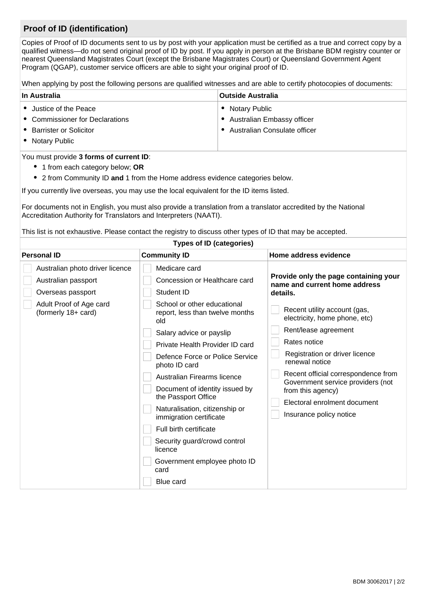## **Proof of ID (identification)**

Copies of Proof of ID documents sent to us by post with your application must be certified as a true and correct copy by a qualified witness—do not send original proof of ID by post. If you apply in person at the Brisbane BDM registry counter or nearest Queensland Magistrates Court (except the Brisbane Magistrates Court) or Queensland Government Agent Program (QGAP), customer service officers are able to sight your original proof of ID.

When applying by post the following persons are qualified witnesses and are able to certify photocopies of documents:

| Adult Proof of Age card<br>(formerly 18+ card) | School or other educational<br>report, less than twelve months<br>old |
|------------------------------------------------|-----------------------------------------------------------------------|
|                                                | Salary advice or payslip                                              |
|                                                | Private Health Provider ID card                                       |

| <b>In Australia</b>                                                                                                                                                                 |                                      | <b>Outside Australia</b> |                                                                        |
|-------------------------------------------------------------------------------------------------------------------------------------------------------------------------------------|--------------------------------------|--------------------------|------------------------------------------------------------------------|
| • Justice of the Peace<br>• Notary Public                                                                                                                                           |                                      |                          |                                                                        |
| • Commissioner for Declarations<br><b>Australian Embassy officer</b><br>$\bullet$                                                                                                   |                                      |                          |                                                                        |
| • Barrister or Solicitor                                                                                                                                                            |                                      |                          | Australian Consulate officer                                           |
| • Notary Public                                                                                                                                                                     |                                      |                          |                                                                        |
| You must provide 3 forms of current ID:                                                                                                                                             |                                      |                          |                                                                        |
| • 1 from each category below; OR                                                                                                                                                    |                                      |                          |                                                                        |
| • 2 from Community ID and 1 from the Home address evidence categories below.                                                                                                        |                                      |                          |                                                                        |
| If you currently live overseas, you may use the local equivalent for the ID items listed.                                                                                           |                                      |                          |                                                                        |
| For documents not in English, you must also provide a translation from a translator accredited by the National<br>Accreditation Authority for Translators and Interpreters (NAATI). |                                      |                          |                                                                        |
| This list is not exhaustive. Please contact the registry to discuss other types of ID that may be accepted.                                                                         |                                      |                          |                                                                        |
| <b>Types of ID (categories)</b>                                                                                                                                                     |                                      |                          |                                                                        |
| <b>Personal ID</b>                                                                                                                                                                  | <b>Community ID</b>                  |                          | Home address evidence                                                  |
| Australian photo driver licence                                                                                                                                                     | Medicare card                        |                          |                                                                        |
| Australian passport                                                                                                                                                                 | <b>Concession or Healthcare card</b> |                          | Provide only the page containing your<br>name and current home address |
| Overseas passport                                                                                                                                                                   | <b>Student ID</b>                    |                          | details.                                                               |
| Adult Proof of Age card                                                                                                                                                             | School or other educational          |                          | <b>Contract Contract Contract</b>                                      |

| <u>I IIVANG I IGANITI TOVIGGI ID GATU</u>        |  |
|--------------------------------------------------|--|
| Defence Force or Police Service<br>photo ID card |  |

| Australian Firearms licence                           |
|-------------------------------------------------------|
| Document of identity issued by<br>the Passport Office |



Recent utility account (gas, electricity, home phone, etc)

Rent/lease agreement

Rates notice

Registration or driver licence

renewal notice

Recent official correspondence from Government service providers (not

from this agency)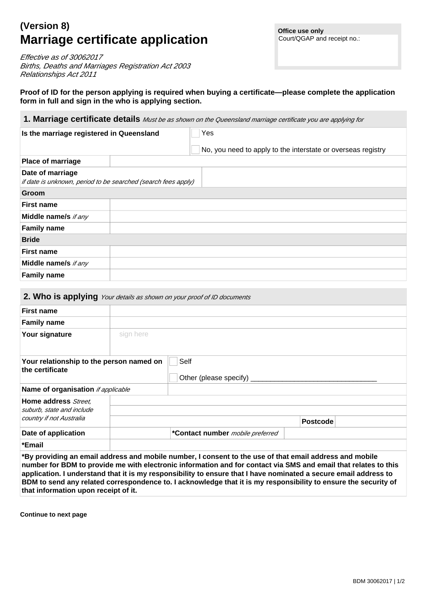**Office use only** Court/QGAP and receipt no.:

# **(Version 8) Marriage certificate application**

Effective as of 30062017 Births, Deaths and Marriages Registration Act 2003 Relationships Act 2011

**Proof of ID for the person applying is required when buying a certificate—please complete the application form in full and sign in the who is applying section.**

| 1. Marriage certificate details Must be as shown on the Queensland marriage certificate you are applying for |
|--------------------------------------------------------------------------------------------------------------|
|--------------------------------------------------------------------------------------------------------------|

| Is the marriage registered in Queensland |                                                               | Yes                                                          |  |
|------------------------------------------|---------------------------------------------------------------|--------------------------------------------------------------|--|
|                                          |                                                               | No, you need to apply to the interstate or overseas registry |  |
| <b>Place of marriage</b>                 |                                                               |                                                              |  |
| Date of marriage                         | if date is unknown, period to be searched (search fees apply) |                                                              |  |
| Groom                                    |                                                               |                                                              |  |
| <b>First name</b>                        |                                                               |                                                              |  |
| Middle name/s if any                     |                                                               |                                                              |  |
| <b>Family name</b>                       |                                                               |                                                              |  |
| <b>Bride</b>                             |                                                               |                                                              |  |
| <b>First name</b>                        |                                                               |                                                              |  |
| Middle name/s if any                     |                                                               |                                                              |  |
| <b>Family name</b>                       |                                                               |                                                              |  |

### **2. Who is applying** Your details as shown on your proof of ID documents

| <b>First name</b>                                           |                                     |
|-------------------------------------------------------------|-------------------------------------|
| <b>Family name</b>                                          |                                     |
| Your signature                                              | sign here                           |
| Your relationship to the person named on<br>the certificate | Self<br>Other (please specify) ____ |
| Name of organisation if applicable                          |                                     |
| Home address Street,                                        |                                     |

| suburb, state and include            |                                                                                                                                                                                                                                                                                                                                                                                                                                                                   |                 |
|--------------------------------------|-------------------------------------------------------------------------------------------------------------------------------------------------------------------------------------------------------------------------------------------------------------------------------------------------------------------------------------------------------------------------------------------------------------------------------------------------------------------|-----------------|
| country if not Australia             |                                                                                                                                                                                                                                                                                                                                                                                                                                                                   | <b>Postcode</b> |
| Date of application                  | *Contact number <i>mobile preferred</i>                                                                                                                                                                                                                                                                                                                                                                                                                           |                 |
| *Email                               |                                                                                                                                                                                                                                                                                                                                                                                                                                                                   |                 |
| that information upon receipt of it. | *By providing an email address and mobile number, I consent to the use of that email address and mobile<br>number for BDM to provide me with electronic information and for contact via SMS and email that relates to this<br>application. I understand that it is my responsibility to ensure that I have nominated a secure email address to<br>BDM to send any related correspondence to. I acknowledge that it is my responsibility to ensure the security of |                 |

**Continue to next page**